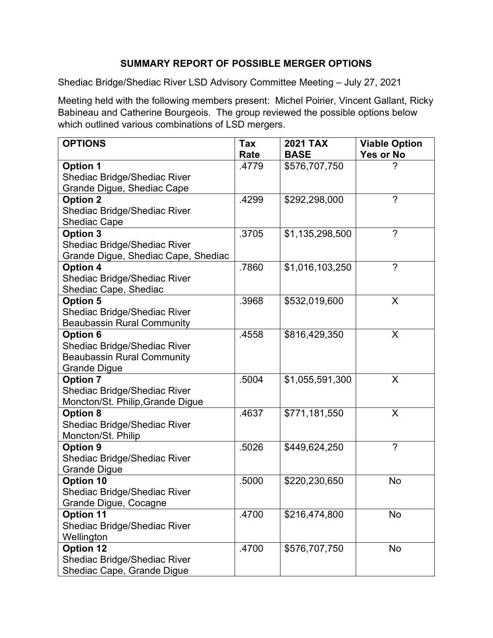# SUMMARY REPORT OF POSSIBLE MERGER OPTIONS

Shediac Bridge/Shediac River LSD Advisory Committee Meeting – July 27, 2021

Meeting held with the following members present: Michel Poirier, Vincent Gallant, Ricky Babineau and Catherine Bourgeois. The group reviewed the possible options below which outlined various combinations of LSD mergers.

| <b>OPTIONS</b>                      | Tax   | <b>2021 TAX</b> | <b>Viable Option</b> |
|-------------------------------------|-------|-----------------|----------------------|
|                                     | Rate  | <b>BASE</b>     | Yes or No            |
| <b>Option 1</b>                     | .4779 | \$576,707,750   |                      |
| <b>Shediac Bridge/Shediac River</b> |       |                 |                      |
| Grande Digue, Shediac Cape          |       |                 |                      |
| <b>Option 2</b>                     | .4299 | \$292,298,000   | $\gamma$             |
| Shediac Bridge/Shediac River        |       |                 |                      |
| <b>Shediac Cape</b>                 |       |                 |                      |
| <b>Option 3</b>                     | .3705 | \$1,135,298,500 | $\gamma$             |
| <b>Shediac Bridge/Shediac River</b> |       |                 |                      |
| Grande Digue, Shediac Cape, Shediac |       |                 |                      |
| <b>Option 4</b>                     | .7860 | \$1,016,103,250 | $\gamma$             |
| <b>Shediac Bridge/Shediac River</b> |       |                 |                      |
| Shediac Cape, Shediac               |       |                 |                      |
| <b>Option 5</b>                     | .3968 | \$532,019,600   | X                    |
| <b>Shediac Bridge/Shediac River</b> |       |                 |                      |
| <b>Beaubassin Rural Community</b>   |       |                 |                      |
| <b>Option 6</b>                     | .4558 | \$816,429,350   | X                    |
| <b>Shediac Bridge/Shediac River</b> |       |                 |                      |
| <b>Beaubassin Rural Community</b>   |       |                 |                      |
| <b>Grande Digue</b>                 |       |                 |                      |
| <b>Option 7</b>                     | .5004 | \$1,055,591,300 | X                    |
| Shediac Bridge/Shediac River        |       |                 |                      |
| Moncton/St. Philip, Grande Digue    |       |                 |                      |
| <b>Option 8</b>                     | .4637 | \$771,181,550   | X                    |
| <b>Shediac Bridge/Shediac River</b> |       |                 |                      |
| Moncton/St. Philip                  |       |                 |                      |
| Option 9                            | .5026 | \$449,624,250   | $\gamma$             |
| Shediac Bridge/Shediac River        |       |                 |                      |
| <b>Grande Digue</b>                 |       |                 |                      |
| <b>Option 10</b>                    | .5000 | \$220,230,650   | <b>No</b>            |
| Shediac Bridge/Shediac River        |       |                 |                      |
| Grande Digue, Cocagne               |       |                 |                      |
| <b>Option 11</b>                    | .4700 | \$216,474,800   | <b>No</b>            |
| <b>Shediac Bridge/Shediac River</b> |       |                 |                      |
| Wellington                          |       |                 |                      |
| <b>Option 12</b>                    | .4700 | \$576,707,750   | No                   |
| <b>Shediac Bridge/Shediac River</b> |       |                 |                      |
| Shediac Cape, Grande Digue          |       |                 |                      |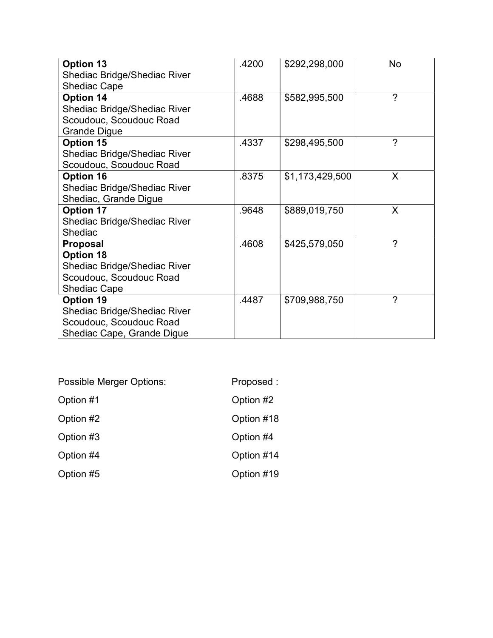| <b>Option 13</b>                    | .4200 | \$292,298,000   | No       |
|-------------------------------------|-------|-----------------|----------|
| <b>Shediac Bridge/Shediac River</b> |       |                 |          |
| <b>Shediac Cape</b>                 |       |                 |          |
| Option 14                           | .4688 | \$582,995,500   | $\gamma$ |
| <b>Shediac Bridge/Shediac River</b> |       |                 |          |
| Scoudouc, Scoudouc Road             |       |                 |          |
| <b>Grande Digue</b>                 |       |                 |          |
| <b>Option 15</b>                    | .4337 | \$298,495,500   | ?        |
| Shediac Bridge/Shediac River        |       |                 |          |
| Scoudouc, Scoudouc Road             |       |                 |          |
| <b>Option 16</b>                    | .8375 | \$1,173,429,500 | X        |
| <b>Shediac Bridge/Shediac River</b> |       |                 |          |
| Shediac, Grande Digue               |       |                 |          |
| <b>Option 17</b>                    | .9648 | \$889,019,750   | X        |
| <b>Shediac Bridge/Shediac River</b> |       |                 |          |
| Shediac                             |       |                 |          |
| Proposal                            | .4608 | \$425,579,050   | $\gamma$ |
| <b>Option 18</b>                    |       |                 |          |
| <b>Shediac Bridge/Shediac River</b> |       |                 |          |
| Scoudouc, Scoudouc Road             |       |                 |          |
| <b>Shediac Cape</b>                 |       |                 |          |
| <b>Option 19</b>                    | .4487 | \$709,988,750   | ?        |
| <b>Shediac Bridge/Shediac River</b> |       |                 |          |
| Scoudouc, Scoudouc Road             |       |                 |          |
| Shediac Cape, Grande Digue          |       |                 |          |

| Possible Merger Options: | Proposed:  |
|--------------------------|------------|
| Option #1                | Option #2  |
| Option #2                | Option #18 |
| Option #3                | Option #4  |
| Option #4                | Option #14 |
| Option #5                | Option #19 |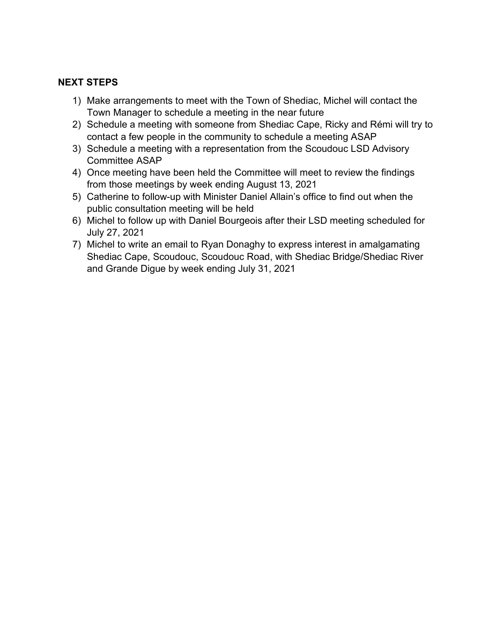## NEXT STEPS

- 1) Make arrangements to meet with the Town of Shediac, Michel will contact the Town Manager to schedule a meeting in the near future
- 2) Schedule a meeting with someone from Shediac Cape, Ricky and Rémi will try to contact a few people in the community to schedule a meeting ASAP
- 3) Schedule a meeting with a representation from the Scoudouc LSD Advisory Committee ASAP
- 4) Once meeting have been held the Committee will meet to review the findings from those meetings by week ending August 13, 2021
- 5) Catherine to follow-up with Minister Daniel Allain's office to find out when the public consultation meeting will be held
- 6) Michel to follow up with Daniel Bourgeois after their LSD meeting scheduled for July 27, 2021
- 7) Michel to write an email to Ryan Donaghy to express interest in amalgamating Shediac Cape, Scoudouc, Scoudouc Road, with Shediac Bridge/Shediac River and Grande Digue by week ending July 31, 2021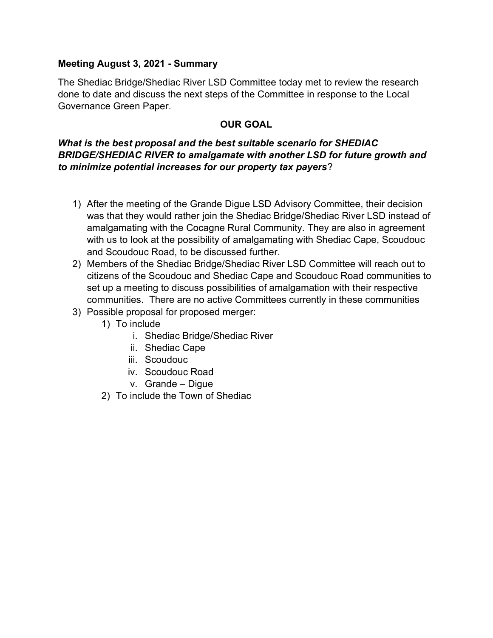### Meeting August 3, 2021 - Summary

The Shediac Bridge/Shediac River LSD Committee today met to review the research done to date and discuss the next steps of the Committee in response to the Local Governance Green Paper.

# OUR GOAL

## What is the best proposal and the best suitable scenario for SHEDIAC BRIDGE/SHEDIAC RIVER to amalgamate with another LSD for future growth and to minimize potential increases for our property tax payers?

- 1) After the meeting of the Grande Digue LSD Advisory Committee, their decision was that they would rather join the Shediac Bridge/Shediac River LSD instead of amalgamating with the Cocagne Rural Community. They are also in agreement with us to look at the possibility of amalgamating with Shediac Cape, Scoudouc and Scoudouc Road, to be discussed further.
- 2) Members of the Shediac Bridge/Shediac River LSD Committee will reach out to citizens of the Scoudouc and Shediac Cape and Scoudouc Road communities to set up a meeting to discuss possibilities of amalgamation with their respective communities. There are no active Committees currently in these communities
- 3) Possible proposal for proposed merger:
	- 1) To include
		- i. Shediac Bridge/Shediac River
		- ii. Shediac Cape
		- iii. Scoudouc
		- iv. Scoudouc Road
		- v. Grande Digue
	- 2) To include the Town of Shediac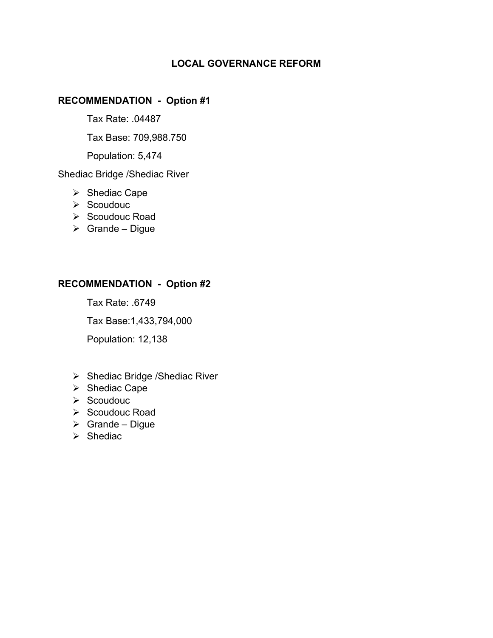# LOCAL GOVERNANCE REFORM

#### RECOMMENDATION - Option #1

Tax Rate: .04487

Tax Base: 709,988.750

Population: 5,474

Shediac Bridge /Shediac River

- $\triangleright$  Shediac Cape
- $\triangleright$  Scoudouc
- $\triangleright$  Scoudouc Road
- $\triangleright$  Grande Digue

## RECOMMENDATION - Option #2

Tax Rate: .6749

Tax Base:1,433,794,000

Population: 12,138

- $\triangleright$  Shediac Bridge /Shediac River
- $\triangleright$  Shediac Cape
- $\triangleright$  Scoudouc
- $\triangleright$  Scoudouc Road
- $\triangleright$  Grande Digue
- $\triangleright$  Shediac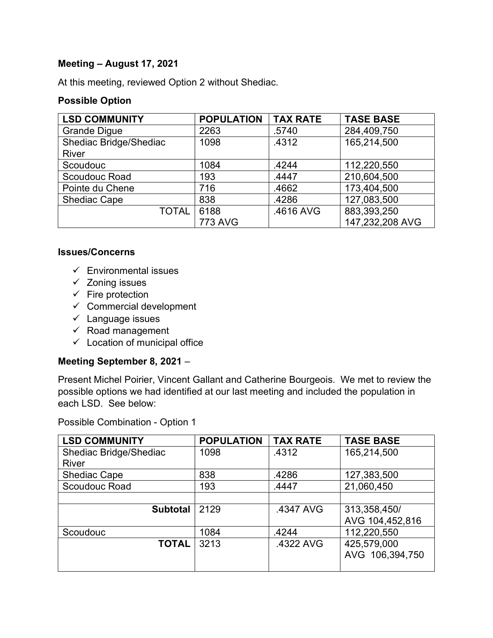## Meeting – August 17, 2021

At this meeting, reviewed Option 2 without Shediac.

#### Possible Option

| <b>LSD COMMUNITY</b>   | <b>POPULATION</b> | <b>TAX RATE</b> | <b>TASE BASE</b> |
|------------------------|-------------------|-----------------|------------------|
| <b>Grande Digue</b>    | 2263              | .5740           | 284,409,750      |
| Shediac Bridge/Shediac | 1098              | .4312           | 165,214,500      |
| <b>River</b>           |                   |                 |                  |
| Scoudouc               | 1084              | .4244           | 112,220,550      |
| Scoudouc Road          | 193               | .4447           | 210,604,500      |
| Pointe du Chene        | 716               | .4662           | 173,404,500      |
| <b>Shediac Cape</b>    | 838               | .4286           | 127,083,500      |
| <b>TOTAL</b>           | 6188              | .4616 AVG       | 883,393,250      |
|                        | <b>773 AVG</b>    |                 | 147,232,208 AVG  |

#### Issues/Concerns

- $\checkmark$  Environmental issues
- $\checkmark$  Zoning issues
- $\checkmark$  Fire protection
- $\checkmark$  Commercial development
- $\checkmark$  Language issues
- $\checkmark$  Road management
- $\checkmark$  Location of municipal office

### Meeting September 8, 2021 –

Present Michel Poirier, Vincent Gallant and Catherine Bourgeois. We met to review the possible options we had identified at our last meeting and included the population in each LSD. See below:

Possible Combination - Option 1

| <b>LSD COMMUNITY</b>   | <b>POPULATION</b> | <b>TAX RATE</b> | <b>TASE BASE</b> |
|------------------------|-------------------|-----------------|------------------|
| Shediac Bridge/Shediac | 1098              | .4312           | 165,214,500      |
| <b>River</b>           |                   |                 |                  |
| <b>Shediac Cape</b>    | 838               | .4286           | 127,383,500      |
| Scoudouc Road          | 193               | .4447           | 21,060,450       |
|                        |                   |                 |                  |
| <b>Subtotal</b>        | 2129              | .4347 AVG       | 313,358,450/     |
|                        |                   |                 | AVG 104,452,816  |
| Scoudouc               | 1084              | .4244           | 112,220,550      |
| <b>TOTAL</b>           | 3213              | .4322 AVG       | 425,579,000      |
|                        |                   |                 | AVG 106,394,750  |
|                        |                   |                 |                  |